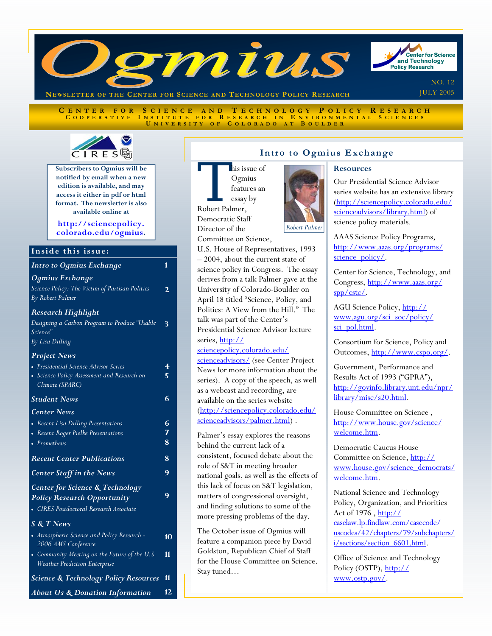

CENTER FOR SCIENCE AND TECHNOLOGY POLICY RESEARCH COOPERATIVE INSTITUTE FOR RESEARCH IN ENVIRONMENTAL SCIENCES **U NIVERSITY O F C OLORADO A T B OULDER**



**Subscribers to Ogmius will be notified by email when a new edition is available, and may access it either in pdf or html format. The newsletter is also available online at** 

**http://sciencepolicy. [colorado.edu/ogmius.](http://sciencepolicy.colorado.edu/ogmius)** 

# Inside this issue:

|  | Intro to Ogmius Exchange |  |
|--|--------------------------|--|
|  |                          |  |

*Ogmius Exchange Science Policy: The Victim of Partisan Politics By Robert Palmer Research Highlight Designing a Carbon Program to Produce "Usable*  **3** 

**2** 

*Science" By Lisa Dilling* 

#### *Project News*

| • Presidential Science Advisor Series                                            | 4  |
|----------------------------------------------------------------------------------|----|
| • Science Policy Assessment and Research on<br>Climate (SPARC)                   | 5  |
| <b>Student News</b>                                                              | 6  |
| <b>Center News</b>                                                               |    |
| • Recent Lisa Dilling Presentations                                              | 6  |
| Recent Roger Pielke Presentations                                                | 7  |
| • Prometheus                                                                     | 8  |
| <b>Recent Center Publications</b>                                                | 8  |
| <b>Center Staff in the News</b>                                                  | 9  |
| <b>Center for Science &amp; Technology</b><br><b>Policy Research Opportunity</b> | 9  |
| • CIRES Postdoctoral Research Associate                                          |    |
| <b>S &amp; T News</b>                                                            |    |
| • Atmospheric Science and Policy Research -<br>2006 AMS Conference               | 10 |
| • Community Meeting on the Future of the U.S.<br>Weather Prediction Enterprise   | 11 |
| <b>Science &amp; Technology Policy Resources</b>                                 | 11 |

*About Us & Donation Information* **12** 

# **Intro to Ogmius Exchange**

Nais issue of<br>Ogmius<br>features an<br>essay by<br>Robert Palmer. **Ogmius** features an essay by Robert Palmer, Democratic Staff

Director of the

Committee on Science, U.S. House of Representatives, 1993 – 2004, about the current state of science policy in Congress. The essay derives from a talk Palmer gave at the University of Colorado-Boulder on April 18 titled "Science, Policy, and Politics: A View from the Hill." The talk was part of the Center's Presidential Science Advisor lecture series, http://

#### sciencepolicy.colorado.edu/

[scienceadvisors/ \(see Center](http://sciencepolicy.colorado.edu/scienceadvisors/) Project News for more information about the series). A copy of the speech, as well as a webcast and recording, are available on the series website [\(http://sciencepolicy.colorado.edu/](http://sciencepolicy.colorado.edu/scienceadvisors/palmer.html) scienceadvisors/palmer.html) .

Palmer's essay explores the reasons behind the current lack of a consistent, focused debate about the role of S&T in meeting broader national goals, as well as the effects of this lack of focus on S&T legislation, matters of congressional oversight, and finding solutions to some of the more pressing problems of the day.

The October issue of Ogmius will feature a companion piece by David Goldston, Republican Chief of Staff for the House Committee on Science. Stay tuned…

#### **Resources**

Our Presidential Science Advisor series website has an extensive library [\(http://sciencepolicy.colorado.edu/](http://sciencepolicy.colorado.edu/scienceadvisors/library.html) scienceadvisors/library.html) of science policy materials.

AAAS Science Policy Programs, [http://www.aaas.org/programs/](http://www.aaas.org/programs/science_policy/) science\_policy/.

Center for Science, Technology, and [Congress, http://www.aaas.org/](http://www.aaas.org/spp/cstc/) spp/cstc/.

AGU Science Policy, http:// [www.agu.org/sci\\_soc/policy/](http://www.agu.org/sci_soc/policy/sci_pol.html) sci\_pol.html.

Consortium for Science, Policy and Outcomes, [http://www.cspo.org/.](http://www.cspo.org/)

Government, Performance and Results Act of 1993 ("GPRA"), [http://govinfo.library.unt.edu/npr/](http://govinfo.library.unt.edu/npr/library/misc/s20.html) library/misc/s20.html.

House Committee on Science , [http://www.house.gov/science/](http://www.house.gov/science/welcome.htm) welcome.htm.

Democratic Caucus House Committee on Science, http:// [www.house.gov/science\\_democrats/](http://www.house.gov/science_democrats/welcome.htm) welcome.htm.

National Science and Technology Policy, Organization, and Priorities Act of 1976, http:// caselaw.lp.findlaw.com/casecode/ [uscodes/42/chapters/79/subchapters/](http://caselaw.lp.findlaw.com/casecode/uscodes/42/chapters/79/subchapters/i/sections/section_6601.html) i/sections/section 6601.html.

Office of Science and Technology [Policy \(OSTP\), http://](http://www.ostp.gov/) www.ostp.gov/.

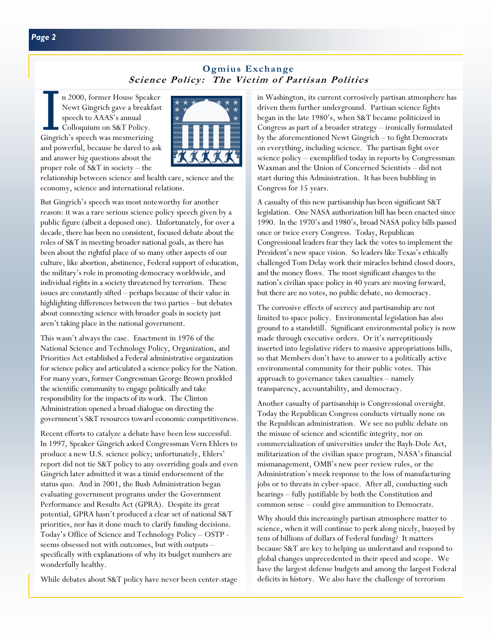# **Ogmius Exchange Science Policy: The Victim of Partisan Politics**

n 2000, former House Speaker Newt Gingrich gave a breakfast speech to AAAS's annual Colloquium on S&T Policy. Gingrich's speech was mesmerizing and powerful, because he dared to ask and answer big questions about the proper role of S&T in society – the



relationship between science and health care, science and the economy, science and international relations.

But Gingrich's speech was most noteworthy for another reason: it was a rare serious science policy speech given by a public figure (albeit a deposed one). Unfortunately, for over a decade, there has been no consistent, focused debate about the roles of S&T in meeting broader national goals, as there has been about the rightful place of so many other aspects of our culture, like abortion, abstinence, Federal support of education, the military's role in promoting democracy worldwide, and individual rights in a society threatened by terrorism. These issues are constantly sifted – perhaps because of their value in highlighting differences between the two parties – but debates about connecting science with broader goals in society just aren't taking place in the national government.

This wasn't always the case. Enactment in 1976 of the National Science and Technology Policy, Organization, and Priorities Act established a Federal administrative organization for science policy and articulated a science policy for the Nation. For many years, former Congressman George Brown prodded the scientific community to engage politically and take responsibility for the impacts of its work. The Clinton Administration opened a broad dialogue on directing the government's S&T resources toward economic competitiveness.

Recent efforts to catalyze a debate have been less successful. In 1997, Speaker Gingrich asked Congressman Vern Ehlers to produce a new U.S. science policy; unfortunately, Ehlers' report did not tie S&T policy to any overriding goals and even Gingrich later admitted it was a timid endorsement of the status quo. And in 2001, the Bush Administration began evaluating government programs under the Government Performance and Results Act (GPRA). Despite its great potential, GPRA hasn't produced a clear set of national S&T priorities, nor has it done much to clarify funding decisions. Today's Office of Science and Technology Policy – OSTP seems obsessed not with outcomes, but with outputs – specifically with explanations of why its budget numbers are wonderfully healthy.

While debates about S&T policy have never been center-stage

in Washington, its current corrosively partisan atmosphere has driven them further underground. Partisan science fights began in the late 1980's, when S&T became politicized in Congress as part of a broader strategy – ironically formulated by the aforementioned Newt Gingrich – to fight Democrats on everything, including science. The partisan fight over science policy – exemplified today in reports by Congressman Waxman and the Union of Concerned Scientists – did not start during this Administration. It has been bubbling in Congress for 15 years.

A casualty of this new partisanship has been significant S&T legislation. One NASA authorization bill has been enacted since 1990. In the 1970's and 1980's, broad NASA policy bills passed once or twice every Congress. Today, Republican Congressional leaders fear they lack the votes to implement the President's new space vision. So leaders like Texas's ethically challenged Tom Delay work their miracles behind closed doors, and the money flows. The most significant changes to the nation's civilian space policy in 40 years are moving forward, but there are no votes, no public debate, no democracy.

The corrosive effects of secrecy and partisanship are not limited to space policy. Environmental legislation has also ground to a standstill. Significant environmental policy is now made through executive orders. Or it's surreptitiously inserted into legislative riders to massive appropriations bills, so that Members don't have to answer to a politically active environmental community for their public votes. This approach to governance takes casualties – namely transparency, accountability, and democracy.

Another casualty of partisanship is Congressional oversight. Today the Republican Congress conducts virtually none on the Republican administration. We see no public debate on the misuse of science and scientific integrity, nor on commercialization of universities under the Bayh-Dole Act, militarization of the civilian space program, NASA's financial mismanagement, OMB's new peer review rules, or the Administration's meek response to the loss of manufacturing jobs or to threats in cyber-space. After all, conducting such hearings – fully justifiable by both the Constitution and common sense – could give ammunition to Democrats.

Why should this increasingly partisan atmosphere matter to science, when it will continue to perk along nicely, buoyed by tens of billions of dollars of Federal funding? It matters because S&T are key to helping us understand and respond to global changes unprecedented in their speed and scope. We have the largest defense budgets and among the largest Federal deficits in history. We also have the challenge of terrorism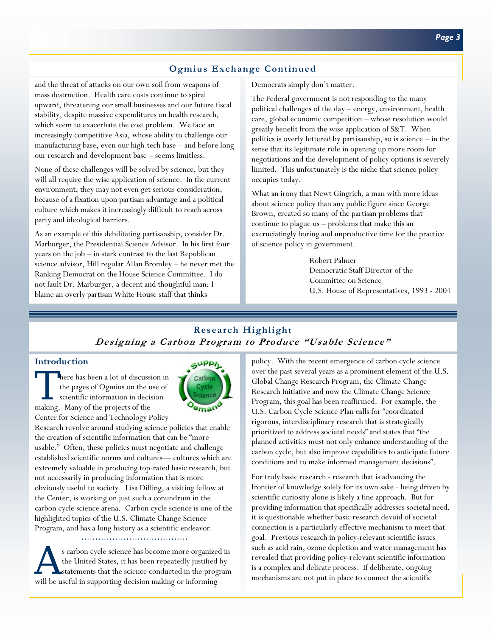# **Ogmius Exchange Continued**

and the threat of attacks on our own soil from weapons of mass destruction. Health care costs continue to spiral upward, threatening our small businesses and our future fiscal stability, despite massive expenditures on health research, which seem to exacerbate the cost problem. We face an increasingly competitive Asia, whose ability to challenge our manufacturing base, even our high-tech base – and before long our research and development base – seems limitless.

None of these challenges will be solved by science, but they will all require the wise application of science. In the current environment, they may not even get serious consideration, because of a fixation upon partisan advantage and a political culture which makes it increasingly difficult to reach across party and ideological barriers.

As an example of this debilitating partisanship, consider Dr. Marburger, the Presidential Science Advisor. In his first four years on the job – in stark contrast to the last Republican science advisor, Hill regular Allan Bromley – he never met the Ranking Democrat on the House Science Committee. I do not fault Dr. Marburger, a decent and thoughtful man; I blame an overly partisan White House staff that thinks

Democrats simply don't matter.

The Federal government is not responding to the many political challenges of the day – energy, environment, health care, global economic competition – whose resolution would greatly benefit from the wise application of S&T. When politics is overly fettered by partisanship, so is science – in the sense that its legitimate role in opening up more room for negotiations and the development of policy options is severely limited. This unfortunately is the niche that science policy occupies today.

What an irony that Newt Gingrich, a man with more ideas about science policy than any public figure since George Brown, created so many of the partisan problems that continue to plague us – problems that make this an excruciatingly boring and unproductive time for the practice of science policy in government.

> Robert Palmer Democratic Staff Director of the Committee on Science U.S. House of Representatives, 1993 - 2004

### **Research Highlight Designing a Carbon Program to Produce "Usable Science"**

#### **Introduction**

There has been a lot of discussion in the pages of Ogmius on the use of scientific information in decision making. Many of the projects of the Center for Science and Technology Policy



Research revolve around studying science policies that enable the creation of scientific information that can be "more usable." Often, these policies must negotiate and challenge established scientific norms and cultures— cultures which are extremely valuable in producing top-rated basic research, but not necessarily in producing information that is more obviously useful to society. Lisa Dilling, a visiting fellow at the Center, is working on just such a conundrum in the carbon cycle science arena. Carbon cycle science is one of the highlighted topics of the U.S. Climate Change Science Program, and has a long history as a scientific endeavor.

s carbon cycle science has become more organized in the United States, it has been repeatedly justified by statements that the science conducted in the program will be useful in supporting decision making or informing

policy. With the recent emergence of carbon cycle science over the past several years as a prominent element of the U.S. Global Change Research Program, the Climate Change Research Initiative and now the Climate Change Science Program, this goal has been reaffirmed. For example, the U.S. Carbon Cycle Science Plan calls for "coordinated rigorous, interdisciplinary research that is strategically prioritized to address societal needs" and states that "the planned activities must not only enhance understanding of the carbon cycle, but also improve capabilities to anticipate future conditions and to make informed management decisions".

For truly basic research - research that is advancing the frontier of knowledge solely for its own sake - being driven by scientific curiosity alone is likely a fine approach. But for providing information that specifically addresses societal need, it is questionable whether basic research devoid of societal connection is a particularly effective mechanism to meet that goal. Previous research in policy-relevant scientific issues such as acid rain, ozone depletion and water management has revealed that providing policy-relevant scientific information is a complex and delicate process. If deliberate, ongoing mechanisms are not put in place to connect the scientific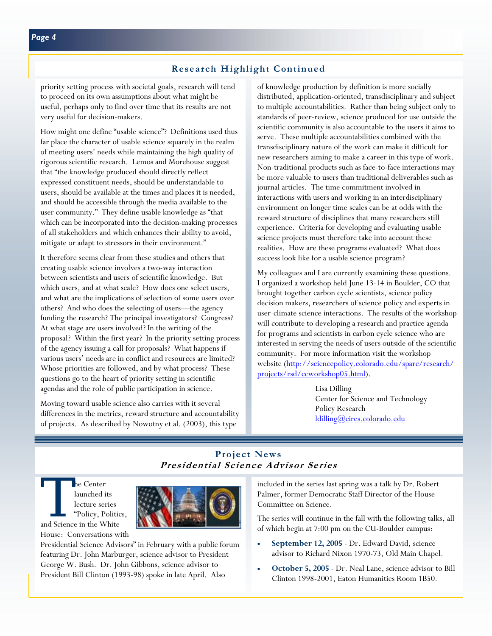#### **Research Highlight Continued**

priority setting process with societal goals, research will tend to proceed on its own assumptions about what might be useful, perhaps only to find over time that its results are not very useful for decision-makers.

How might one define "usable science"? Definitions used thus far place the character of usable science squarely in the realm of meeting users' needs while maintaining the high quality of rigorous scientific research. Lemos and Morehouse suggest that "the knowledge produced should directly reflect expressed constituent needs, should be understandable to users, should be available at the times and places it is needed, and should be accessible through the media available to the user community." They define usable knowledge as "that which can be incorporated into the decision-making processes of all stakeholders and which enhances their ability to avoid, mitigate or adapt to stressors in their environment."

It therefore seems clear from these studies and others that creating usable science involves a two-way interaction between scientists and users of scientific knowledge. But which users, and at what scale? How does one select users, and what are the implications of selection of some users over others? And who does the selecting of users—the agency funding the research? The principal investigators? Congress? At what stage are users involved? In the writing of the proposal? Within the first year? In the priority setting process of the agency issuing a call for proposals? What happens if various users' needs are in conflict and resources are limited? Whose priorities are followed, and by what process? These questions go to the heart of priority setting in scientific agendas and the role of public participation in science.

Moving toward usable science also carries with it several differences in the metrics, reward structure and accountability of projects. As described by Nowotny et al. (2003), this type

of knowledge production by definition is more socially distributed, application-oriented, transdisciplinary and subject to multiple accountabilities. Rather than being subject only to standards of peer-review, science produced for use outside the scientific community is also accountable to the users it aims to serve. These multiple accountabilities combined with the transdisciplinary nature of the work can make it difficult for new researchers aiming to make a career in this type of work. Non-traditional products such as face-to-face interactions may be more valuable to users than traditional deliverables such as journal articles. The time commitment involved in interactions with users and working in an interdisciplinary environment on longer time scales can be at odds with the reward structure of disciplines that many researchers still experience. Criteria for developing and evaluating usable science projects must therefore take into account these realities. How are these programs evaluated? What does success look like for a usable science program?

My colleagues and I are currently examining these questions. I organized a workshop held June 13-14 in Boulder, CO that brought together carbon cycle scientists, science policy decision makers, researchers of science policy and experts in user-climate science interactions. The results of the workshop will contribute to developing a research and practice agenda for programs and scientists in carbon cycle science who are interested in serving the needs of users outside of the scientific community. For more information visit the workshop [website \(http://sciencepolicy.colorado.edu/sparc/research/](http://sciencepolicy.colorado.edu/sparc/research/projects/rsd/ccworkshop05.html) projects/rsd/ccworkshop05.html).

> Lisa Dilling Center for Science and Technology Policy Research [ldilling@cires.colorado.edu](mailto:ldilling@cires.colorado.edu)

# **Project News Presidential Science Advisor Series**

The Center<br>
launched its<br>
lecture series<br>
"Policy, Politic<br>
and Science in the White launched its lecture series "Policy, Politics, House: Conversations with



Presidential Science Advisors" in February with a public forum featuring Dr. John Marburger, science advisor to President George W. Bush. Dr. John Gibbons, science advisor to President Bill Clinton (1993-98) spoke in late April. Also

included in the series last spring was a talk by Dr. Robert Palmer, former Democratic Staff Director of the House Committee on Science.

The series will continue in the fall with the following talks, all of which begin at 7:00 pm on the CU-Boulder campus:

- **September 12, 2005**  Dr. Edward David, science advisor to Richard Nixon 1970-73, Old Main Chapel.
- **October 5, 2005**  Dr. Neal Lane, science advisor to Bill Clinton 1998-2001, Eaton Humanities Room 1B50.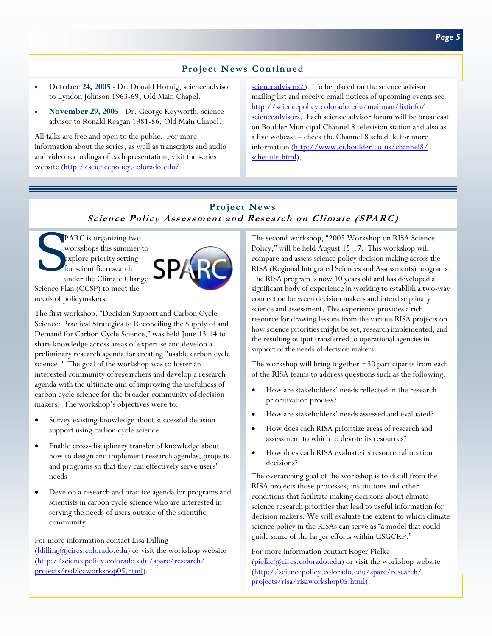### **Project News Continued**

- **October 24, 2005**  Dr. Donald Hornig, science advisor to Lyndon Johnson 1963-69, Old Main Chapel.
- **November 29, 2005**  Dr. George Keyworth, science advisor to Ronald Reagan 1981-86, Old Main Chapel.

All talks are free and open to the public. For more information about the series, as well as transcripts and audio and video recordings of each presentation, visit the series website [\(http://sciencepolicy.colorado.edu/](http://sciencepolicy.colorado.edu/scienceadvisors/)

[scienceadvisors/\). To](http://sciencepolicy.colorado.edu/scienceadvisors/) be placed on the science advisor mailing list and receive email notices of upcoming events see http://sciencepolicy.colorado.edu/mailman/listinfo/ [scienceadvisors. Each science advisor forum will be bro](http://sciencepolicy.colorado.edu/mailman/listinfo/scienceadvisors)adcast on Boulder Municipal Channel 8 television station and also as a live webcast – check the Channel 8 schedule for more [information \(http://www.ci.boulder.co.us/channel8/](http://www.ci.boulder.co.us/channel8/schedule.html) schedule.html).

# **Project News Science Policy Assessment and Research on Climate (SPARC)**

**PARC** is organizing two workshops this summer to explore priority setting for scientific research under the Climate Change Science Plan (CCSP) to meet the needs of policymakers.



The first workshop, "Decision Support and Carbon Cycle Science: Practical Strategies to Reconciling the Supply of and Demand for Carbon Cycle Science," was held June 13-14 to share knowledge across areas of expertise and develop a preliminary research agenda for creating "usable carbon cycle science." The goal of the workshop was to foster an interested community of researchers and develop a research agenda with the ultimate aim of improving the usefulness of carbon cycle science for the broader community of decision makers. The workshop's objectives were to:

- Survey existing knowledge about successful decision support using carbon cycle science
- Enable cross-disciplinary transfer of knowledge about how to design and implement research agendas, projects and programs so that they can effectively serve users' needs
- Develop a research and practice agenda for programs and scientists in carbon cycle science who are interested in serving the needs of users outside of the scientific community.

For more information contact Lisa Dilling  $\frac{1}{\text{d}}$  ( $\frac{1}{\text{d}}$ ) or visit the workshop website [\(http://sciencepolicy.colorado.edu/sparc/research/](http://sciencepolicy.colorado.edu/sparc/research/projects/rsd/ccworkshop05.html) projects/rsd/ccworkshop05.html).

The second workshop, "2005 Workshop on RISA Science Policy," will be held August 15-17. This workshop will compare and assess science policy decision making across the RISA (Regional Integrated Sciences and Assessments) programs. The RISA program is now 10 years old and has developed a significant body of experience in working to establish a two-way connection between decision makers and interdisciplinary science and assessment. This experience provides a rich resource for drawing lessons from the various RISA projects on how science priorities might be set, research implemented, and the resulting output transferred to operational agencies in support of the needs of decision makers.

The workshop will bring together  $\sim$ 30 participants from each of the RISA teams to address questions such as the following:

- How are stakeholders' needs reflected in the research prioritization process?
- How are stakeholders' needs assessed and evaluated?
- How does each RISA prioritize areas of research and assessment to which to devote its resources?
- How does each RISA evaluate its resource allocation decisions?

The overarching goal of the workshop is to distill from the RISA projects those processes, institutions and other conditions that facilitate making decisions about climate science research priorities that lead to useful information for decision makers. We will evaluate the extent to which climate science policy in the RISAs can serve as "a model that could guide some of the larger efforts within USGCRP."

For more information contact Roger Pielke  $(pielke@cires.colorado.edu)$  or visit the workshop website [\(http://sciencepolicy.colorado.edu/sparc/research/](http://sciencepolicy.colorado.edu/sparc/research/projects/risa/risaworkshop05.html) projects/risa/risaworkshop05.html).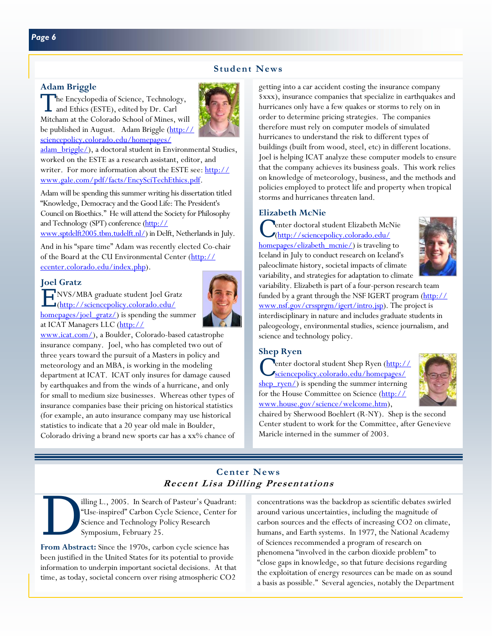#### **Student News**

#### **Adam Briggle**

The Encyclopedia of Science, Technology, and Ethics (ESTE), edited by Dr. Carl Mitcham at the Colorado School of Mines, will be published in August. Adam Briggle (http:// sciencepolicy.colorado.edu/homepages/



[adam\\_briggle/\), a doctoral student in Environme](http://sciencepolicy.colorado.edu/homepages/adam_briggle/)ntal Studies, worked on the ESTE as a research assistant, editor, and [writer. For more information about the ESTE see: http://](http://www.gale.com/pdf/facts/EncySciTechEthics.pdf) www.gale.com/pdf/facts/EncySciTechEthics.pdf.

Adam will be spending this summer writing his dissertation titled "Knowledge, Democracy and the Good Life: The President's Council on Bioethics." He will attend the Society for Philosophy and Technology (SPT) conference (http://

[www.sptdelft2005.tbm.tudelft.nl/\) in Delf](http://www.sptdelft2005.tbm.tudelft.nl/)t, Netherlands in July.

And in his "spare time" Adam was recently elected Co-chair [of the Board at the CU Environmental Center \(http://](http://ecenter.colorado.edu/index.php) ecenter.colorado.edu/index.php).

#### **Joel Gratz**

E NVS/MBA graduate student Joel Gratz



(http://sciencepolicy.colorado.edu/ <u>homepages/joel\_gratz/</u>) is spending the summer at ICAT Managers LLC (http://

[www.icat.com/\), a Boulder, Colo](http://www.icat.com/)rado-based catastrophe insurance company. Joel, who has completed two out of three years toward the pursuit of a Masters in policy and meteorology and an MBA, is working in the modeling department at ICAT. ICAT only insures for damage caused by earthquakes and from the winds of a hurricane, and only for small to medium size businesses. Whereas other types of insurance companies base their pricing on historical statistics (for example, an auto insurance company may use historical statistics to indicate that a 20 year old male in Boulder, Colorado driving a brand new sports car has a xx% chance of getting into a car accident costing the insurance company \$xxx), insurance companies that specialize in earthquakes and hurricanes only have a few quakes or storms to rely on in order to determine pricing strategies. The companies therefore must rely on computer models of simulated hurricanes to understand the risk to different types of buildings (built from wood, steel, etc) in different locations. Joel is helping ICAT analyze these computer models to ensure that the company achieves its business goals. This work relies on knowledge of meteorology, business, and the methods and policies employed to protect life and property when tropical storms and hurricanes threaten land.

#### **Elizabeth McNie**

<sup>1</sup> enter doctoral student Elizabeth McNie (http://sciencepolicy.colorado.edu/ [homepages/elizabeth\\_mcnie/\) is traveling t](http://sciencepolicy.colorado.edu/homepages/elizabeth_mcnie/)o Iceland in July to conduct research on Iceland's paleoclimate history, societal impacts of climate variability, and strategies for adaptation to climate



variability. Elizabeth is part of a four-person research team [funded by a grant through the NSF IGERT program \(http://](http://www.nsf.gov/crssprgm/igert/intro.jsp) www.nsf.gov/crssprgm/igert/intro.jsp). The project is interdisciplinary in nature and includes graduate students in paleogeology, environmental studies, science journalism, and science and technology policy.

#### **Shep Ryen**

C enter doctoral student Shep Ryen (http:// shep  $ryen/$ ) is spending the summer interning [for the House Committee on Science \(http://](http://www.house.gov/science/welcome.htm) www.house.gov/science/welcome.htm),



chaired by Sherwood Boehlert (R-NY). Shep is the second Center student to work for the Committee, after Genevieve Maricle interned in the summer of 2003.

# **Center News Recent Lisa Dilling Presentations**

illing L., 2005. In Search of Pasteur's Quadrant:<br>
"Use-inspired" Carbon Cycle Science, Center for<br>
Science and Technology Policy Research<br>
Symposium, February 25. "Use-inspired" Carbon Cycle Science, Center for Science and Technology Policy Research Symposium, February 25.

**From Abstract:** Since the 1970s, carbon cycle science has been justified in the United States for its potential to provide information to underpin important societal decisions. At that time, as today, societal concern over rising atmospheric CO2

concentrations was the backdrop as scientific debates swirled around various uncertainties, including the magnitude of carbon sources and the effects of increasing CO2 on climate, humans, and Earth systems. In 1977, the National Academy of Sciences recommended a program of research on phenomena "involved in the carbon dioxide problem" to "close gaps in knowledge, so that future decisions regarding the exploitation of energy resources can be made on as sound a basis as possible." Several agencies, notably the Department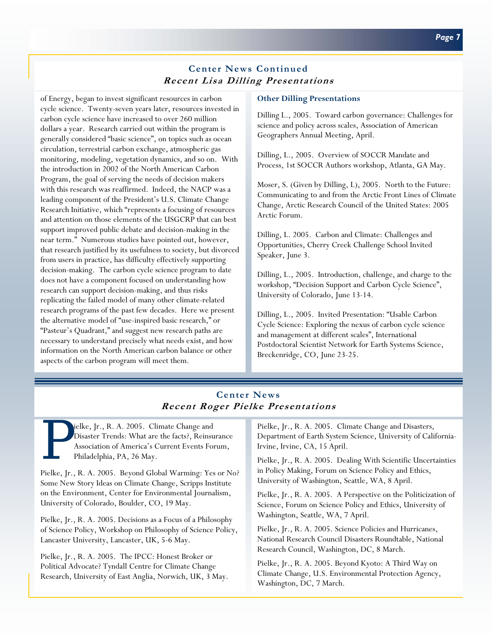# **Center News Continued Recent Lisa Dilling Presentations**

of Energy, began to invest significant resources in carbon cycle science. Twenty-seven years later, resources invested in carbon cycle science have increased to over 260 million dollars a year. Research carried out within the program is generally considered "basic science", on topics such as ocean circulation, terrestrial carbon exchange, atmospheric gas monitoring, modeling, vegetation dynamics, and so on. With the introduction in 2002 of the North American Carbon Program, the goal of serving the needs of decision makers with this research was reaffirmed. Indeed, the NACP was a leading component of the President's U.S. Climate Change Research Initiative, which "represents a focusing of resources and attention on those elements of the USGCRP that can best support improved public debate and decision-making in the near term." Numerous studies have pointed out, however, that research justified by its usefulness to society, but divorced from users in practice, has difficulty effectively supporting decision-making. The carbon cycle science program to date does not have a component focused on understanding how research can support decision-making, and thus risks replicating the failed model of many other climate-related research programs of the past few decades. Here we present the alternative model of "use-inspired basic research," or "Pasteur's Quadrant," and suggest new research paths are necessary to understand precisely what needs exist, and how information on the North American carbon balance or other aspects of the carbon program will meet them.

#### **Other Dilling Presentations**

Dilling L., 2005. Toward carbon governance: Challenges for science and policy across scales, Association of American Geographers Annual Meeting, April.

Dilling, L., 2005. Overview of SOCCR Mandate and Process, 1st SOCCR Authors workshop, Atlanta, GA May.

Moser, S. (Given by Dilling, L), 2005. North to the Future: Communicating to and from the Arctic Front Lines of Climate Change, Arctic Research Council of the United States: 2005 Arctic Forum.

Dilling, L. 2005. Carbon and Climate: Challenges and Opportunities, Cherry Creek Challenge School Invited Speaker, June 3.

Dilling, L., 2005. Introduction, challenge, and charge to the workshop, "Decision Support and Carbon Cycle Science", University of Colorado, June 13-14.

Dilling, L., 2005. Invited Presentation: "Usable Carbon Cycle Science: Exploring the nexus of carbon cycle science and management at different scales", International Postdoctoral Scientist Network for Earth Systems Science, Breckenridge, CO, June 23-25.

# **Center News Recent Roger Pielke Presentations**

Ielke, Jr., R. A. 2005. Climate Change and Disaster Trends: What are the facts?, Reinsu Association of America's Current Events For Philadelphia, PA, 26 May. Disaster Trends: What are the facts?, Reinsurance Association of America's Current Events Forum, Philadelphia, PA, 26 May.

Pielke, Jr., R. A. 2005. Beyond Global Warming: Yes or No? Some New Story Ideas on Climate Change, Scripps Institute on the Environment, Center for Environmental Journalism, University of Colorado, Boulder, CO, 19 May.

Pielke, Jr., R. A. 2005. Decisions as a Focus of a Philosophy of Science Policy, Workshop on Philosophy of Science Policy, Lancaster University, Lancaster, UK, 5-6 May.

Pielke, Jr., R. A. 2005. The IPCC: Honest Broker or Political Advocate? Tyndall Centre for Climate Change Research, University of East Anglia, Norwich, UK, 3 May. Pielke, Jr., R. A. 2005. Climate Change and Disasters, Department of Earth System Science, University of California-Irvine, Irvine, CA, 15 April.

Pielke, Jr., R. A. 2005. Dealing With Scientific Uncertainties in Policy Making, Forum on Science Policy and Ethics, University of Washington, Seattle, WA, 8 April.

Pielke, Jr., R. A. 2005. A Perspective on the Politicization of Science, Forum on Science Policy and Ethics, University of Washington, Seattle, WA, 7 April.

Pielke, Jr., R. A. 2005. Science Policies and Hurricanes, National Research Council Disasters Roundtable, National Research Council, Washington, DC, 8 March.

Pielke, Jr., R. A. 2005. Beyond Kyoto: A Third Way on Climate Change, U.S. Environmental Protection Agency, Washington, DC, 7 March.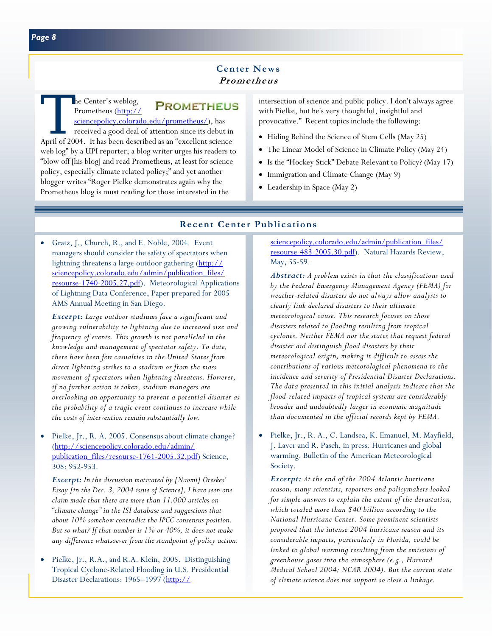# **Center News Prometheus**

The Center's weblog,<br>
PROMETHEUS<br>
sciencepolicy.colorado.edu/prometheus/), has<br>
received a good deal of attention since its debut in<br>
April of 2004. It has been described as an "excellent science **PROMETHEUS** Prometheus (http:// [sciencepolicy.colorado.edu/prometheus/\),](http://sciencepolicy.colorado.edu/prometheus/) has received a good deal of attention since its debut in web log" by a UPI reporter; a blog writer urges his readers to "blow off [his blog] and read Prometheus, at least for science policy, especially climate related policy;" and yet another blogger writes "Roger Pielke demonstrates again why the Prometheus blog is must reading for those interested in the

intersection of science and public policy. I don't always agree with Pielke, but he's very thoughtful, insightful and provocative." Recent topics include the following:

- Hiding Behind the Science of Stem Cells (May 25)
- The Linear Model of Science in Climate Policy (May 24)
- Is the "Hockey Stick" Debate Relevant to Policy? (May 17)
- Immigration and Climate Change (May 9)
- Leadership in Space (May 2)

#### **Recent Center Publications**

• Gratz, J., Church, R., and E. Noble, 2004. Event managers should consider the safety of spectators when lightning threatens a large outdoor gathering (http:// sciencepolicy.colorado.edu/admin/publication\_files/ [resourse-1740-2005.27.pdf\). Meteorological Applicat](http://sciencepolicy.colorado.edu/admin/publication_files/resourse-1740-2005.27.pdf)ions of Lightning Data Conference, Paper prepared for 2005 AMS Annual Meeting in San Diego.

*Excerpt: Large outdoor stadiums face a significant and growing vulnerability to lightning due to increased size and frequency of events. This growth is not paralleled in the knowledge and management of spectator safety. To date, there have been few casualties in the United States from direct lightning strikes to a stadium or from the mass movement of spectators when lightning threatens. However, if no further action is taken, stadium managers are overlooking an opportunity to prevent a potential disaster as the probability of a tragic event continues to increase while the costs of intervention remain substantially low.* 

• Pielke, Jr., R. A. 2005. Consensus about climate change? (http://sciencepolicy.colorado.edu/admin/ [publication\\_files/resourse-1761-2005.32.pdf\) S](http://sciencepolicy.colorado.edu/admin/publication_files/resourse-1761-2005.32.pdf)cience, 308: 952-953.

*Excerpt: In the discussion motivated by [Naomi] Oreskes' Essay [in the Dec. 3, 2004 issue of Science], I have seen one claim made that there are more than 11,000 articles on "climate change" in the ISI database and suggestions that about 10% somehow contradict the IPCC consensus position. But so what? If that number is 1% or 40%, it does not make any difference whatsoever from the standpoint of policy action.* 

• Pielke, Jr., R.A., and R.A. Klein, 2005. Distinguishing Tropical Cyclone-Related Flooding in U.S. Presidential Disaster Declarations: 1965–1997 [\(http://](http://sciencepolicy.colorado.edu/admin/publication_files/resourse-483-2005.30.pdf)

sciencepolicy.colorado.edu/admin/publication\_files/ resourse-483-2005.30.pdf). Natural Hazards Review, May, 55-59.

*Abstract: A problem exists in that the classifications used by the Federal Emergency Management Agency (FEMA) for weather-related disasters do not always allow analysts to clearly link declared disasters to their ultimate meteorological cause. This research focuses on those disasters related to flooding resulting from tropical cyclones. Neither FEMA nor the states that request federal disaster aid distinguish flood disasters by their meteorological origin, making it difficult to assess the contributions of various meteorological phenomena to the incidence and severity of Presidential Disaster Declarations. The data presented in this initial analysis indicate that the flood-related impacts of tropical systems are considerably broader and undoubtedly larger in economic magnitude than documented in the official records kept by FEMA.* 

• Pielke, Jr., R. A., C. Landsea, K. Emanuel, M. Mayfield, J. Laver and R. Pasch, in press. Hurricanes and global warming. Bulletin of the American Meteorological Society.

*Excerpt: At the end of the 2004 Atlantic hurricane season, many scientists, reporters and policymakers looked for simple answers to explain the extent of the devastation, which totaled more than \$40 billion according to the National Hurricane Center. Some prominent scientists proposed that the intense 2004 hurricane season and its considerable impacts, particularly in Florida, could be linked to global warming resulting from the emissions of greenhouse gases into the atmosphere (e.g., Harvard Medical School 2004; NCAR 2004). But the current state of climate science does not support so close a linkage.*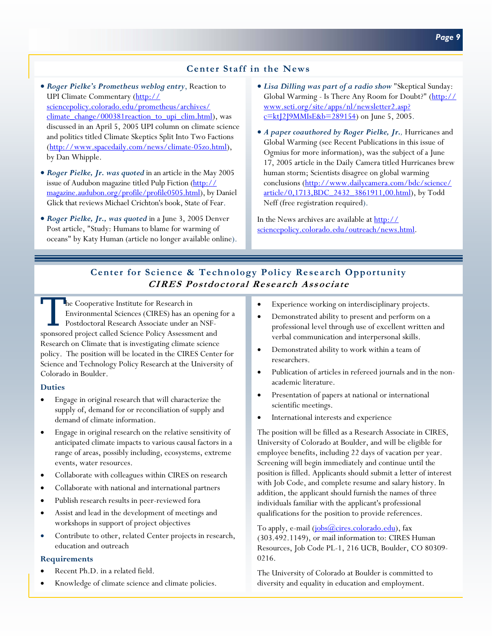### **Center Staff in the News**

- *Roger Pielke's Prometheus weblog entry*, Reaction to UPI Climate Commentary (http:// sciencepolicy.colorado.edu/prometheus/archives/ [climate\\_change/000381reaction\\_to\\_upi\\_clim.html\),](http://sciencepolicy.colorado.edu/prometheus/archives/climate_change/000381reaction_to_upi_clim.html) was discussed in an April 5, 2005 UPI column on climate science and politics titled Climate Skeptics Split Into Two Factions [\(http://www.spacedaily.com/news/climate-05zo.html\),](http://www.spacedaily.com/news/climate-05zo.html)  by Dan Whipple.
- *Roger Pielke, Jr. was quoted* in an article in the May 2005 issue of Audubon magazine titled Pulp Fiction (http:// [magazine.audubon.org/profile/profile0505.html\), by D](http://magazine.audubon.org/profile/profile0505.html)aniel Glick that reviews Michael Crichton's book, State of Fear.
- *Roger Pielke, Jr., was quoted* in a June 3, 2005 Denver Post article, "Study: Humans to blame for warming of oceans" by Katy Human (article no longer available online).
- *Lisa Dilling was part of a radio show* "Skeptical Sunday: [Global Warming - Is There Any Room for Doubt?" \(http://](http://www.seti.org/site/apps/nl/newsletter2.asp?c=ktJ2J9MMIsE&b=289154) www.seti.org/site/apps/nl/newsletter2.asp?  $c=kt[2]9MMIsE&b=289154$  on June 5, 2005.
- *A paper coauthored by Roger Pielke, Jr.,* Hurricanes and Global Warming (see Recent Publications in this issue of Ogmius for more information), was the subject of a June 17, 2005 article in the Daily Camera titled Hurricanes brew human storm; Scientists disagree on global warming conclusions (http://www.dailycamera.com/bdc/science/ article/0,1713, BDC 2432 3861911, 00.html), by Todd Neff (free registration required).

In the News archives are available at http:// [sciencepolicy.colorado.edu/outreach/news.html.](http://sciencepolicy.colorado.edu/outreach/news.html) 

# **Center for Science & Technology Policy Research Opportunity CIRES Postdoctoral Research Associate**

The Cooperative Institute for Research in Environmental Sciences (CIRES) has an opening for a Postdoctoral Research Associate under an NSFsponsored project called Science Policy Assessment and Research on Climate that is investigating climate science policy. The position will be located in the CIRES Center for Science and Technology Policy Research at the University of Colorado in Boulder.

#### **Duties**

- Engage in original research that will characterize the supply of, demand for or reconciliation of supply and demand of climate information.
- Engage in original research on the relative sensitivity of anticipated climate impacts to various causal factors in a range of areas, possibly including, ecosystems, extreme events, water resources.
- Collaborate with colleagues within CIRES on research
- Collaborate with national and international partners
- Publish research results in peer-reviewed fora
- Assist and lead in the development of meetings and workshops in support of project objectives
- Contribute to other, related Center projects in research, education and outreach

#### **Requirements**

- Recent Ph.D. in a related field.
- Knowledge of climate science and climate policies.
- Experience working on interdisciplinary projects.
- Demonstrated ability to present and perform on a professional level through use of excellent written and verbal communication and interpersonal skills.
- Demonstrated ability to work within a team of researchers.
- Publication of articles in refereed journals and in the nonacademic literature.
- Presentation of papers at national or international scientific meetings.
- International interests and experience

The position will be filled as a Research Associate in CIRES, University of Colorado at Boulder, and will be eligible for employee benefits, including 22 days of vacation per year. Screening will begin immediately and continue until the position is filled. Applicants should submit a letter of interest with Job Code, and complete resume and salary history. In addition, the applicant should furnish the names of three individuals familiar with the applicant's professional qualifications for the position to provide references.

To apply, e-mai[l \(jobs@cires.colorado.edu\),](mailto:jobs@cires.colorado.edu) fax (303.492.1149), or mail information to: CIRES Human Resources, Job Code PL-1, 216 UCB, Boulder, CO 80309- 0216.

The University of Colorado at Boulder is committed to diversity and equality in education and employment.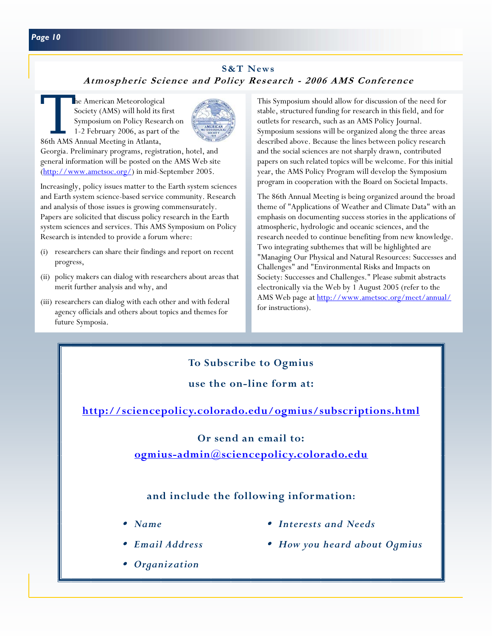# **S&T News Atmospheric Science and Policy Research - 2006 AMS Conference**

The American Meteorological<br>Society (AMS) will hold its fit<br>Symposium on Policy Resear<br>1-2 February 2006, as part of<br>86th AMS Annual Meeting in Atlanta. Society (AMS) will hold its first Symposium on Policy Research on 1-2 February 2006, as part of the 86th AMS Annual Meeting in Atlanta,



Georgia. Preliminary programs, registration, hotel, and general information will be posted on the AMS Web site [\(http://www.ametsoc.org/\)](http://www.ametsoc.org/) in mid-September 2005.

Increasingly, policy issues matter to the Earth system sciences and Earth system science-based service community. Research and analysis of those issues is growing commensurately. Papers are solicited that discuss policy research in the Earth system sciences and services. This AMS Symposium on Policy Research is intended to provide a forum where:

- (i) researchers can share their findings and report on recent progress,
- (ii) policy makers can dialog with researchers about areas that merit further analysis and why, and
- (iii) researchers can dialog with each other and with federal agency officials and others about topics and themes for future Symposia.

This Symposium should allow for discussion of the need for stable, structured funding for research in this field, and for outlets for research, such as an AMS Policy Journal. Symposium sessions will be organized along the three areas described above. Because the lines between policy research and the social sciences are not sharply drawn, contributed papers on such related topics will be welcome. For this initial year, the AMS Policy Program will develop the Symposium program in cooperation with the Board on Societal Impacts.

The 86th Annual Meeting is being organized around the broad theme of "Applications of Weather and Climate Data" with an emphasis on documenting success stories in the applications of atmospheric, hydrologic and oceanic sciences, and the research needed to continue benefiting from new knowledge. Two integrating subthemes that will be highlighted are "Managing Our Physical and Natural Resources: Successes and Challenges" and "Environmental Risks and Impacts on Society: Successes and Challenges." Please submit abstracts electronically via the Web by 1 August 2005 (refer to the AMS Web page a[t http://www.ametsoc.org/meet/annual/](http://www.ametsoc.org/meet/annual/) for instructions).

# **To Subscribe to Ogmius use the on-line form at:**

**<http://sciencepolicy.colorado.edu/ogmius/subscriptions.html>**

# **Or send an email to:**

**[ogmius-admin@sciencepolicy.colorado.edu](mailto:ogmius-admin@sciencepolicy.colorado.edu)**

# **and include the following information:**

- 
- 
- $O$ *rganization*
- Name  **Interests and Needs** 
	- *Email Address How you heard about Ogmius*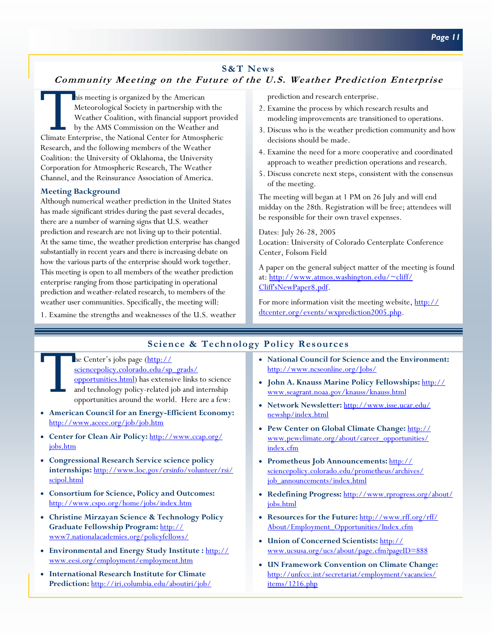# **S&T News**

# **Community Meeting on the Future of the U.S. Weather Prediction Enterprise**

This meeting is organized by the American<br>Meteorological Society in partnership wit<br>Weather Coalition, with financial support<br>by the AMS Commission on the Weather<br>Climate Enterprise, the National Center for Atmosp Meteorological Society in partnership with the Weather Coalition, with financial support provided by the AMS Commission on the Weather and Climate Enterprise, the National Center for Atmospheric Research, and the following members of the Weather Coalition: the University of Oklahoma, the University Corporation for Atmospheric Research, The Weather Channel, and the Reinsurance Association of America.

#### **Meeting Background**

Although numerical weather prediction in the United States has made significant strides during the past several decades, there are a number of warning signs that U.S. weather prediction and research are not living up to their potential. At the same time, the weather prediction enterprise has changed substantially in recent years and there is increasing debate on how the various parts of the enterprise should work together. This meeting is open to all members of the weather prediction enterprise ranging from those participating in operational prediction and weather-related research, to members of the weather user communities. Specifically, the meeting will:

1. Examine the strengths and weaknesses of the U.S. weather

prediction and research enterprise.

- 2. Examine the process by which research results and modeling improvements are transitioned to operations.
- 3. Discuss who is the weather prediction community and how decisions should be made.
- 4. Examine the need for a more cooperative and coordinated approach to weather prediction operations and research.
- 5. Discuss concrete next steps, consistent with the consensus of the meeting.

The meeting will began at 1 PM on 26 July and will end midday on the 28th. Registration will be free; attendees will be responsible for their own travel expenses.

Dates: July 26-28, 2005 Location: University of Colorado Centerplate Conference Center, Folsom Field

A paper on the general subject matter of the meeting is found [at: http://www.atmos.washington.edu/~cliff/](http://www.atmos.washington.edu/~cliff/Cliff) Cliff'sNewPaper8.pdf.

[For more information visit the meeting website, http://](http://dtcenter.org/events/wxprediction2005.php) dtcenter.org/events/wxprediction2005.php.

# **Science & Technology Policy Resources**

The Center's jobs page (http://<br>sciencepolicy.colorado.edu/sp<br>opportunities.html) has extens<br>and technology policy-related journal the world sciencepolicy.colorado.edu/sp\_grads/ [opportunities.html\) has extensive links](http://sciencepolicy.colorado.edu/sp_grads/opportunities.html) to science and technology policy-related job and internship opportunities around the world. Here are a few:

- **American Council for an Energy-Efficient Economy:**  <http://www.aceee.org/job/job.htm>
- **[Center for Clean Air Policy:](http://www.ccap.org/jobs.htm)** http://www.ccap.org/ jobs.htm
- **Congressional Research Service science policy internships:** [http://www.loc.gov/crsinfo/volunteer/rsi/](http://www.loc.gov/crsinfo/volunteer/rsi/scipol.html) scipol.html
- **Consortium for Science, Policy and Outcomes:**  <http://www.cspo.org/home/jobs/index.htm>
- **Christine Mirzayan Science & Technology Policy Graduate Fellowship Program:** http:// [www7.nationalacademies.org/policyfellows/](http://www7.nationalacademies.org/policyfellows/)
- **[Environmental and Energy Study Institute :](http://www.eesi.org/employment/employment.htm)** http:// www.eesi.org/employment/employment.htm
- **International Research Institute for Climate Prediction:** <http://iri.columbia.edu/aboutiri/job/>
- **National Council for Science and the Environment:**  <http://www.ncseonline.org/Jobs/>
- **[John A. Knauss Marine Policy Fellowships:](http://www.seagrant.noaa.gov/knauss/knauss.html)** http:// www.seagrant.noaa.gov/knauss/knauss.html
- **Network Newsletter:** [http://www.isse.ucar.edu/](http://www.isse.ucar.edu/newshp/index.html) newshp/index.html
- **Pew Center on Global Climate Change:** http:// [www.pewclimate.org/about/career\\_opportunities/](http://www.pewclimate.org/about/career_opportunities/index.cfm) index.cfm
- **Prometheus Job Announcements:** http:// [sciencepolicy.colorado.edu/prometheus/archives/](http://sciencepolicy.colorado.edu/prometheus/archives/job_announcements/index.html) job\_announcements/index.html
- **Redefining Progress:** [http://www.rprogress.org/about/](http://www.rprogress.org/about/jobs.html) jobs.html
- **Resources for the Future:** http://www.rff.org/rff/ [About/Employment\\_Opportunities/Index.cfm](http://www.rff.org/rff/About/Employment_Opportunities/Index.cfm)
- **Union of Concerned Scientists:** http:// [www.ucsusa.org/ucs/about/page.cfm?pageID=888](http://www.ucsusa.org/ucs/about/page.cfm?pageID=888)
- **UN Framework Convention on Climate Change:**  [http://unfccc.int/secretariat/employment/vacancies/](http://unfccc.int/secretariat/employment/vacancies/items/1216.php) items/1216.php